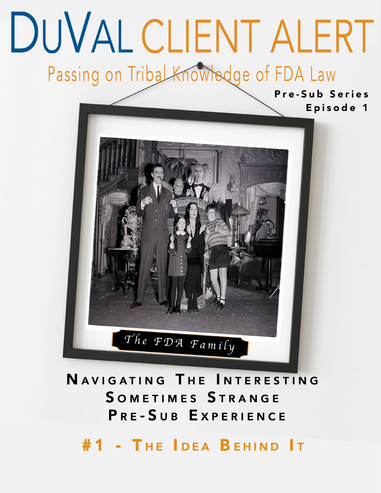# DUVAL CLIENT ALERT Passing on Tribal Knowledge of FDA Law

Pre-Sub Series Episode 1



### NAVIGATING THE INTERESTING SOMETIMES STRANGE PRE-SUB EXPERIENCE

#1 - THE IDEA BEHIND IT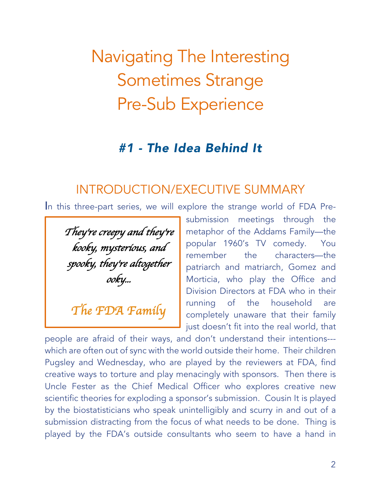# Navigating The Interesting Sometimes Strange Pre-Sub Experience

#### *#1 - The Idea Behind It*

#### INTRODUCTION/EXECUTIVE SUMMARY

In this three-part series, we will explore the strange world of FDA Pre-

*They*'*re creepy and they*'*re kooky, mysterious, and spooky, they*'*re altogether ooky...* 

*The FDA Family* 

submission meetings through the metaphor of the Addams Family—the popular 1960's TV comedy. You remember the characters—the patriarch and matriarch, Gomez and Morticia, who play the Office and Division Directors at FDA who in their running of the household are completely unaware that their family just doesn't fit into the real world, that

people are afraid of their ways, and don't understand their intentions-- which are often out of sync with the world outside their home. Their children Pugsley and Wednesday, who are played by the reviewers at FDA, find creative ways to torture and play menacingly with sponsors. Then there is Uncle Fester as the Chief Medical Officer who explores creative new scientific theories for exploding a sponsor's submission. Cousin It is played by the biostatisticians who speak unintelligibly and scurry in and out of a submission distracting from the focus of what needs to be done. Thing is played by the FDA's outside consultants who seem to have a hand in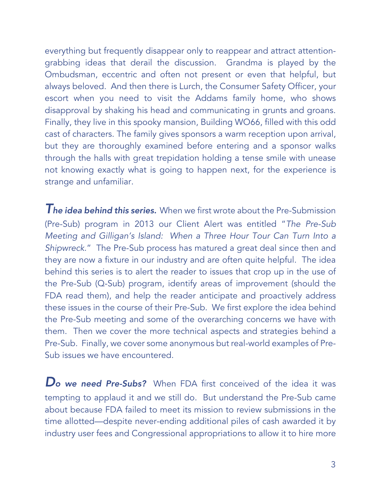everything but frequently disappear only to reappear and attract attentiongrabbing ideas that derail the discussion. Grandma is played by the Ombudsman, eccentric and often not present or even that helpful, but always beloved. And then there is Lurch, the Consumer Safety Officer, your escort when you need to visit the Addams family home, who shows disapproval by shaking his head and communicating in grunts and groans. Finally, they live in this spooky mansion, Building WO66, filled with this odd cast of characters. The family gives sponsors a warm reception upon arrival, but they are thoroughly examined before entering and a sponsor walks through the halls with great trepidation holding a tense smile with unease not knowing exactly what is going to happen next, for the experience is strange and unfamiliar.

*The idea behind this series.* When we first wrote about the Pre-Submission (Pre-Sub) program in 2013 our Client Alert was entitled "*The Pre-Sub Meeting and Gilligan's Island: When a Three Hour Tour Can Turn Into a Shipwreck*." The Pre-Sub process has matured a great deal since then and they are now a fixture in our industry and are often quite helpful. The idea behind this series is to alert the reader to issues that crop up in the use of the Pre-Sub (Q-Sub) program, identify areas of improvement (should the FDA read them), and help the reader anticipate and proactively address these issues in the course of their Pre-Sub. We first explore the idea behind the Pre-Sub meeting and some of the overarching concerns we have with them. Then we cover the more technical aspects and strategies behind a Pre-Sub. Finally, we cover some anonymous but real-world examples of Pre-Sub issues we have encountered.

*Do we need Pre-Subs?* When FDA first conceived of the idea it was tempting to applaud it and we still do. But understand the Pre-Sub came about because FDA failed to meet its mission to review submissions in the time allotted—despite never-ending additional piles of cash awarded it by industry user fees and Congressional appropriations to allow it to hire more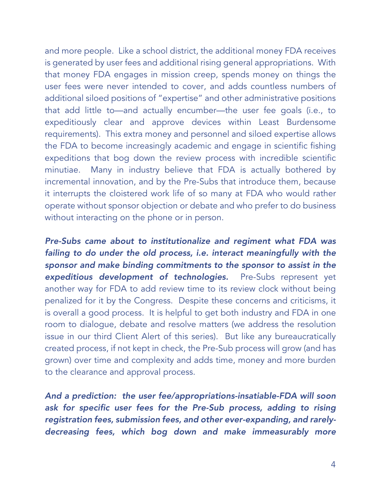and more people. Like a school district, the additional money FDA receives is generated by user fees and additional rising general appropriations. With that money FDA engages in mission creep, spends money on things the user fees were never intended to cover, and adds countless numbers of additional siloed positions of "expertise" and other administrative positions that add little to—and actually encumber—the user fee goals (i.e., to expeditiously clear and approve devices within Least Burdensome requirements). This extra money and personnel and siloed expertise allows the FDA to become increasingly academic and engage in scientific fishing expeditions that bog down the review process with incredible scientific minutiae. Many in industry believe that FDA is actually bothered by incremental innovation, and by the Pre-Subs that introduce them, because it interrupts the cloistered work life of so many at FDA who would rather operate without sponsor objection or debate and who prefer to do business without interacting on the phone or in person.

*Pre-Subs came about to institutionalize and regiment what FDA was failing to do under the old process, i.e. interact meaningfully with the sponsor and make binding commitments to the sponsor to assist in the expeditious development of technologies.* Pre-Subs represent yet another way for FDA to add review time to its review clock without being penalized for it by the Congress. Despite these concerns and criticisms, it is overall a good process. It is helpful to get both industry and FDA in one room to dialogue, debate and resolve matters (we address the resolution issue in our third Client Alert of this series). But like any bureaucratically created process, if not kept in check, the Pre-Sub process will grow (and has grown) over time and complexity and adds time, money and more burden to the clearance and approval process.

*And a prediction: the user fee/appropriations-insatiable-FDA will soon*  ask for specific user fees for the Pre-Sub process, adding to rising *registration fees, submission fees, and other ever-expanding, and rarelydecreasing fees, which bog down and make immeasurably more*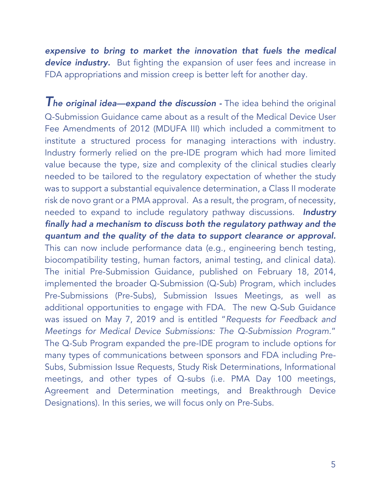*expensive to bring to market the innovation that fuels the medical device industry.* But fighting the expansion of user fees and increase in FDA appropriations and mission creep is better left for another day.

*The original idea—expand the discussion -* The idea behind the original Q-Submission Guidance came about as a result of the Medical Device User Fee Amendments of 2012 (MDUFA III) which included a commitment to institute a structured process for managing interactions with industry. Industry formerly relied on the pre-IDE program which had more limited value because the type, size and complexity of the clinical studies clearly needed to be tailored to the regulatory expectation of whether the study was to support a substantial equivalence determination, a Class II moderate risk de novo grant or a PMA approval. As a result, the program, of necessity, needed to expand to include regulatory pathway discussions. *Industry finally had a mechanism to discuss both the regulatory pathway and the quantum and the quality of the data to support clearance or approval.*  This can now include performance data (e.g., engineering bench testing, biocompatibility testing, human factors, animal testing, and clinical data). The initial Pre-Submission Guidance, published on February 18, 2014, implemented the broader Q-Submission (Q-Sub) Program, which includes Pre-Submissions (Pre-Subs), Submission Issues Meetings, as well as additional opportunities to engage with FDA. The new Q-Sub Guidance was issued on May 7, 2019 and is entitled "*Requests for Feedback and Meetings for Medical Device Submissions: The Q-Submission Program*." The Q-Sub Program expanded the pre-IDE program to include options for many types of communications between sponsors and FDA including Pre-Subs, Submission Issue Requests, Study Risk Determinations, Informational meetings, and other types of Q-subs (i.e. PMA Day 100 meetings, Agreement and Determination meetings, and Breakthrough Device Designations). In this series, we will focus only on Pre-Subs.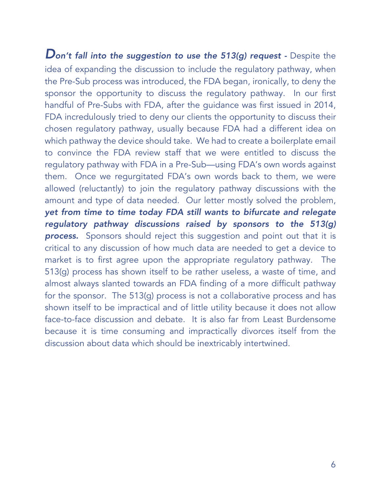*Don't fall into the suggestion to use the 513(g) request -* Despite the idea of expanding the discussion to include the regulatory pathway, when the Pre-Sub process was introduced, the FDA began, ironically, to deny the sponsor the opportunity to discuss the regulatory pathway. In our first handful of Pre-Subs with FDA, after the guidance was first issued in 2014, FDA incredulously tried to deny our clients the opportunity to discuss their chosen regulatory pathway, usually because FDA had a different idea on which pathway the device should take. We had to create a boilerplate email to convince the FDA review staff that we were entitled to discuss the regulatory pathway with FDA in a Pre-Sub—using FDA's own words against them. Once we regurgitated FDA's own words back to them, we were allowed (reluctantly) to join the regulatory pathway discussions with the amount and type of data needed. Our letter mostly solved the problem, *yet from time to time today FDA still wants to bifurcate and relegate regulatory pathway discussions raised by sponsors to the 513(g)*  **process.** Sponsors should reject this suggestion and point out that it is critical to any discussion of how much data are needed to get a device to market is to first agree upon the appropriate regulatory pathway. The 513(g) process has shown itself to be rather useless, a waste of time, and almost always slanted towards an FDA finding of a more difficult pathway for the sponsor. The 513(g) process is not a collaborative process and has shown itself to be impractical and of little utility because it does not allow face-to-face discussion and debate. It is also far from Least Burdensome because it is time consuming and impractically divorces itself from the discussion about data which should be inextricably intertwined.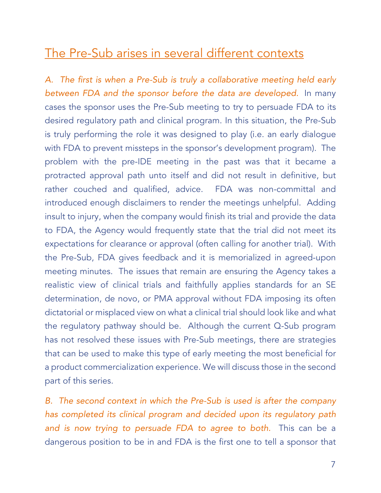#### The Pre-Sub arises in several different contexts

*A. The first is when a Pre-Sub is truly a collaborative meeting held early between FDA and the sponsor before the data are developed.* In many cases the sponsor uses the Pre-Sub meeting to try to persuade FDA to its desired regulatory path and clinical program. In this situation, the Pre-Sub is truly performing the role it was designed to play (i.e. an early dialogue with FDA to prevent missteps in the sponsor's development program). The problem with the pre-IDE meeting in the past was that it became a protracted approval path unto itself and did not result in definitive, but rather couched and qualified, advice. FDA was non-committal and introduced enough disclaimers to render the meetings unhelpful. Adding insult to injury, when the company would finish its trial and provide the data to FDA, the Agency would frequently state that the trial did not meet its expectations for clearance or approval (often calling for another trial). With the Pre-Sub, FDA gives feedback and it is memorialized in agreed-upon meeting minutes. The issues that remain are ensuring the Agency takes a realistic view of clinical trials and faithfully applies standards for an SE determination, de novo, or PMA approval without FDA imposing its often dictatorial or misplaced view on what a clinical trial should look like and what the regulatory pathway should be. Although the current Q-Sub program has not resolved these issues with Pre-Sub meetings, there are strategies that can be used to make this type of early meeting the most beneficial for a product commercialization experience. We will discuss those in the second part of this series.

*B. The second context in which the Pre-Sub is used is after the company has completed its clinical program and decided upon its regulatory path and is now trying to persuade FDA to agree to both.* This can be a dangerous position to be in and FDA is the first one to tell a sponsor that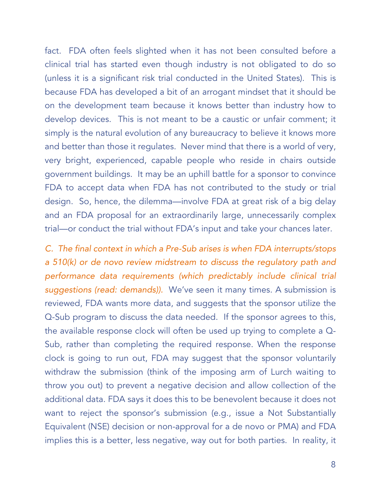fact. FDA often feels slighted when it has not been consulted before a clinical trial has started even though industry is not obligated to do so (unless it is a significant risk trial conducted in the United States). This is because FDA has developed a bit of an arrogant mindset that it should be on the development team because it knows better than industry how to develop devices. This is not meant to be a caustic or unfair comment; it simply is the natural evolution of any bureaucracy to believe it knows more and better than those it regulates. Never mind that there is a world of very, very bright, experienced, capable people who reside in chairs outside government buildings. It may be an uphill battle for a sponsor to convince FDA to accept data when FDA has not contributed to the study or trial design. So, hence, the dilemma—involve FDA at great risk of a big delay and an FDA proposal for an extraordinarily large, unnecessarily complex trial—or conduct the trial without FDA's input and take your chances later.

*C. The final context in which a Pre-Sub arises is when FDA interrupts/stops a 510(k) or de novo review midstream to discuss the regulatory path and performance data requirements (which predictably include clinical trial suggestions (read: demands)).* We've seen it many times. A submission is reviewed, FDA wants more data, and suggests that the sponsor utilize the Q-Sub program to discuss the data needed. If the sponsor agrees to this, the available response clock will often be used up trying to complete a Q-Sub, rather than completing the required response. When the response clock is going to run out, FDA may suggest that the sponsor voluntarily withdraw the submission (think of the imposing arm of Lurch waiting to throw you out) to prevent a negative decision and allow collection of the additional data. FDA says it does this to be benevolent because it does not want to reject the sponsor's submission (e.g., issue a Not Substantially Equivalent (NSE) decision or non-approval for a de novo or PMA) and FDA implies this is a better, less negative, way out for both parties. In reality, it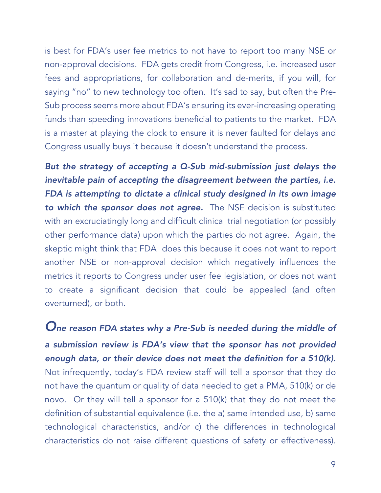is best for FDA's user fee metrics to not have to report too many NSE or non-approval decisions. FDA gets credit from Congress, i.e. increased user fees and appropriations, for collaboration and de-merits, if you will, for saying "no" to new technology too often. It's sad to say, but often the Pre-Sub process seems more about FDA's ensuring its ever-increasing operating funds than speeding innovations beneficial to patients to the market. FDA is a master at playing the clock to ensure it is never faulted for delays and Congress usually buys it because it doesn't understand the process.

*But the strategy of accepting a Q-Sub mid-submission just delays the inevitable pain of accepting the disagreement between the parties, i.e. FDA is attempting to dictate a clinical study designed in its own image to which the sponsor does not agree.* The NSE decision is substituted with an excruciatingly long and difficult clinical trial negotiation (or possibly other performance data) upon which the parties do not agree. Again, the skeptic might think that FDA does this because it does not want to report another NSE or non-approval decision which negatively influences the metrics it reports to Congress under user fee legislation, or does not want to create a significant decision that could be appealed (and often overturned), or both.

*One reason FDA states why a Pre-Sub is needed during the middle of a submission review is FDA's view that the sponsor has not provided enough data, or their device does not meet the definition for a 510(k).*  Not infrequently, today's FDA review staff will tell a sponsor that they do not have the quantum or quality of data needed to get a PMA, 510(k) or de novo. Or they will tell a sponsor for a 510(k) that they do not meet the definition of substantial equivalence (i.e. the a) same intended use, b) same technological characteristics, and/or c) the differences in technological characteristics do not raise different questions of safety or effectiveness).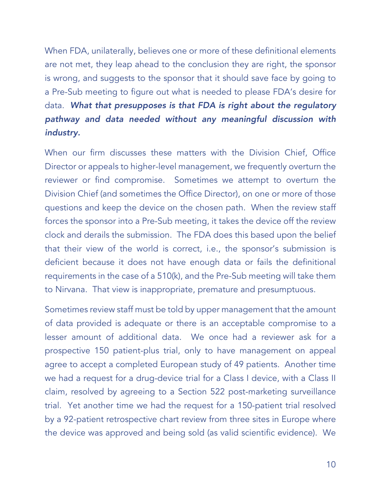When FDA, unilaterally, believes one or more of these definitional elements are not met, they leap ahead to the conclusion they are right, the sponsor is wrong, and suggests to the sponsor that it should save face by going to a Pre-Sub meeting to figure out what is needed to please FDA's desire for data. *What that presupposes is that FDA is right about the regulatory pathway and data needed without any meaningful discussion with industry.* 

When our firm discusses these matters with the Division Chief, Office Director or appeals to higher-level management, we frequently overturn the reviewer or find compromise. Sometimes we attempt to overturn the Division Chief (and sometimes the Office Director), on one or more of those questions and keep the device on the chosen path. When the review staff forces the sponsor into a Pre-Sub meeting, it takes the device off the review clock and derails the submission. The FDA does this based upon the belief that their view of the world is correct, i.e., the sponsor's submission is deficient because it does not have enough data or fails the definitional requirements in the case of a 510(k), and the Pre-Sub meeting will take them to Nirvana. That view is inappropriate, premature and presumptuous.

Sometimes review staff must be told by upper management that the amount of data provided is adequate or there is an acceptable compromise to a lesser amount of additional data. We once had a reviewer ask for a prospective 150 patient-plus trial, only to have management on appeal agree to accept a completed European study of 49 patients. Another time we had a request for a drug-device trial for a Class I device, with a Class II claim, resolved by agreeing to a Section 522 post-marketing surveillance trial. Yet another time we had the request for a 150-patient trial resolved by a 92-patient retrospective chart review from three sites in Europe where the device was approved and being sold (as valid scientific evidence). We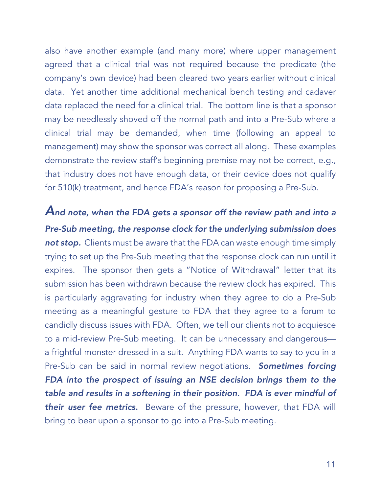also have another example (and many more) where upper management agreed that a clinical trial was not required because the predicate (the company's own device) had been cleared two years earlier without clinical data. Yet another time additional mechanical bench testing and cadaver data replaced the need for a clinical trial. The bottom line is that a sponsor may be needlessly shoved off the normal path and into a Pre-Sub where a clinical trial may be demanded, when time (following an appeal to management) may show the sponsor was correct all along. These examples demonstrate the review staff's beginning premise may not be correct, e.g., that industry does not have enough data, or their device does not qualify for 510(k) treatment, and hence FDA's reason for proposing a Pre-Sub.

*And note, when the FDA gets a sponsor off the review path and into a Pre-Sub meeting, the response clock for the underlying submission does*  **not stop.** Clients must be aware that the FDA can waste enough time simply trying to set up the Pre-Sub meeting that the response clock can run until it expires. The sponsor then gets a "Notice of Withdrawal" letter that its submission has been withdrawn because the review clock has expired. This is particularly aggravating for industry when they agree to do a Pre-Sub meeting as a meaningful gesture to FDA that they agree to a forum to candidly discuss issues with FDA. Often, we tell our clients not to acquiesce to a mid-review Pre-Sub meeting. It can be unnecessary and dangerous a frightful monster dressed in a suit. Anything FDA wants to say to you in a Pre-Sub can be said in normal review negotiations. *Sometimes forcing FDA into the prospect of issuing an NSE decision brings them to the table and results in a softening in their position. FDA is ever mindful of*  **their user fee metrics.** Beware of the pressure, however, that FDA will bring to bear upon a sponsor to go into a Pre-Sub meeting.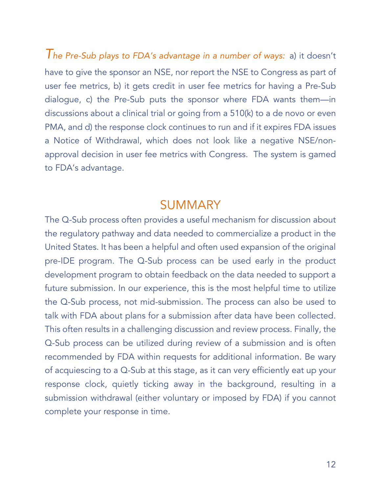*The Pre-Sub plays to FDA's advantage in a number of ways:* a) it doesn't have to give the sponsor an NSE, nor report the NSE to Congress as part of user fee metrics, b) it gets credit in user fee metrics for having a Pre-Sub dialogue, c) the Pre-Sub puts the sponsor where FDA wants them—in discussions about a clinical trial or going from a 510(k) to a de novo or even PMA, and d) the response clock continues to run and if it expires FDA issues a Notice of Withdrawal, which does not look like a negative NSE/nonapproval decision in user fee metrics with Congress. The system is gamed to FDA's advantage.

#### **SUMMARY**

The Q-Sub process often provides a useful mechanism for discussion about the regulatory pathway and data needed to commercialize a product in the United States. It has been a helpful and often used expansion of the original pre-IDE program. The Q-Sub process can be used early in the product development program to obtain feedback on the data needed to support a future submission. In our experience, this is the most helpful time to utilize the Q-Sub process, not mid-submission. The process can also be used to talk with FDA about plans for a submission after data have been collected. This often results in a challenging discussion and review process. Finally, the Q-Sub process can be utilized during review of a submission and is often recommended by FDA within requests for additional information. Be wary of acquiescing to a Q-Sub at this stage, as it can very efficiently eat up your response clock, quietly ticking away in the background, resulting in a submission withdrawal (either voluntary or imposed by FDA) if you cannot complete your response in time.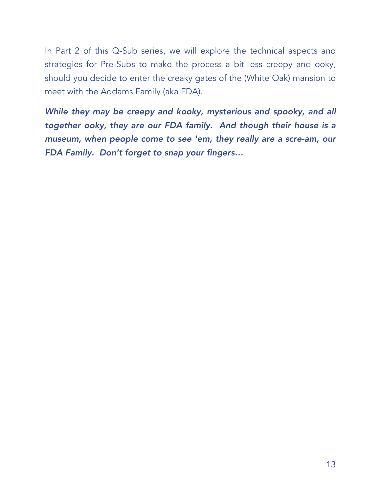In Part 2 of this Q-Sub series, we will explore the technical aspects and strategies for Pre-Subs to make the process a bit less creepy and ooky, should you decide to enter the creaky gates of the (White Oak) mansion to meet with the Addams Family (aka FDA).

*While they may be creepy and kooky, mysterious and spooky, and all together ooky, they are our FDA family. And though their house is a museum, when people come to see 'em, they really are a scre-am, our FDA Family. Don't forget to snap your fingers…*